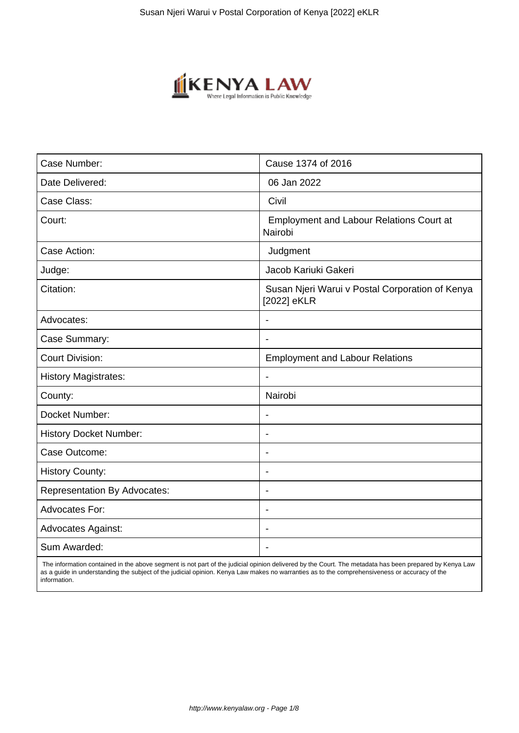

| Case Number:                        | Cause 1374 of 2016                                             |
|-------------------------------------|----------------------------------------------------------------|
| Date Delivered:                     | 06 Jan 2022                                                    |
| Case Class:                         | Civil                                                          |
| Court:                              | <b>Employment and Labour Relations Court at</b><br>Nairobi     |
| Case Action:                        | Judgment                                                       |
| Judge:                              | Jacob Kariuki Gakeri                                           |
| Citation:                           | Susan Njeri Warui v Postal Corporation of Kenya<br>[2022] eKLR |
| Advocates:                          |                                                                |
| Case Summary:                       | $\blacksquare$                                                 |
| <b>Court Division:</b>              | <b>Employment and Labour Relations</b>                         |
| <b>History Magistrates:</b>         |                                                                |
| County:                             | Nairobi                                                        |
| Docket Number:                      | $\blacksquare$                                                 |
| <b>History Docket Number:</b>       | $\blacksquare$                                                 |
| Case Outcome:                       | $\overline{\phantom{a}}$                                       |
| <b>History County:</b>              |                                                                |
| <b>Representation By Advocates:</b> | $\overline{\phantom{a}}$                                       |
| Advocates For:                      | Ĭ.                                                             |
| <b>Advocates Against:</b>           | ٠                                                              |
| Sum Awarded:                        |                                                                |

 The information contained in the above segment is not part of the judicial opinion delivered by the Court. The metadata has been prepared by Kenya Law as a guide in understanding the subject of the judicial opinion. Kenya Law makes no warranties as to the comprehensiveness or accuracy of the information.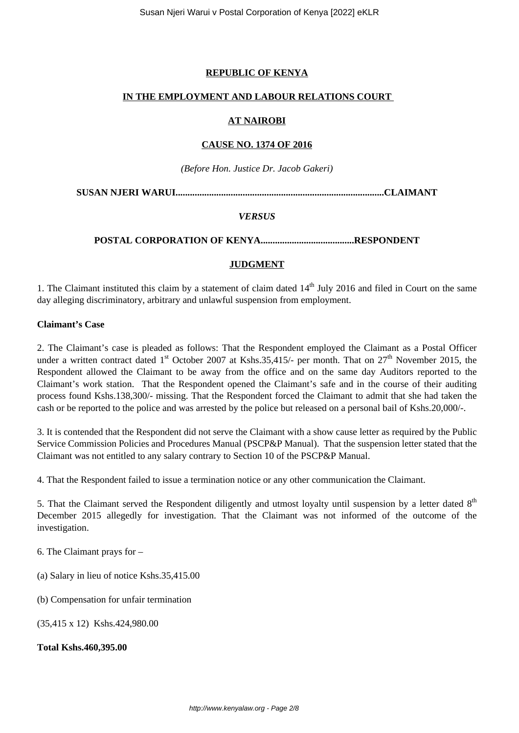# **REPUBLIC OF KENYA**

### **IN THE EMPLOYMENT AND LABOUR RELATIONS COURT**

### **AT NAIROBI**

### **CAUSE NO. 1374 OF 2016**

*(Before Hon. Justice Dr. Jacob Gakeri)*

**SUSAN NJERI WARUI.......................................................................................CLAIMANT**

#### *VERSUS*

### **POSTAL CORPORATION OF KENYA.......................................RESPONDENT**

### **JUDGMENT**

1. The Claimant instituted this claim by a statement of claim dated  $14<sup>th</sup>$  July 2016 and filed in Court on the same day alleging discriminatory, arbitrary and unlawful suspension from employment.

#### **Claimant's Case**

2. The Claimant's case is pleaded as follows: That the Respondent employed the Claimant as a Postal Officer under a written contract dated  $1<sup>st</sup>$  October 2007 at Kshs.35,415/- per month. That on  $27<sup>th</sup>$  November 2015, the Respondent allowed the Claimant to be away from the office and on the same day Auditors reported to the Claimant's work station. That the Respondent opened the Claimant's safe and in the course of their auditing process found Kshs.138,300/- missing. That the Respondent forced the Claimant to admit that she had taken the cash or be reported to the police and was arrested by the police but released on a personal bail of Kshs.20,000/-.

3. It is contended that the Respondent did not serve the Claimant with a show cause letter as required by the Public Service Commission Policies and Procedures Manual (PSCP&P Manual). That the suspension letter stated that the Claimant was not entitled to any salary contrary to Section 10 of the PSCP&P Manual.

4. That the Respondent failed to issue a termination notice or any other communication the Claimant.

5. That the Claimant served the Respondent diligently and utmost loyalty until suspension by a letter dated 8<sup>th</sup> December 2015 allegedly for investigation. That the Claimant was not informed of the outcome of the investigation.

6. The Claimant prays for –

(a) Salary in lieu of notice Kshs.35,415.00

(b) Compensation for unfair termination

(35,415 x 12) Kshs.424,980.00

#### **Total Kshs.460,395.00**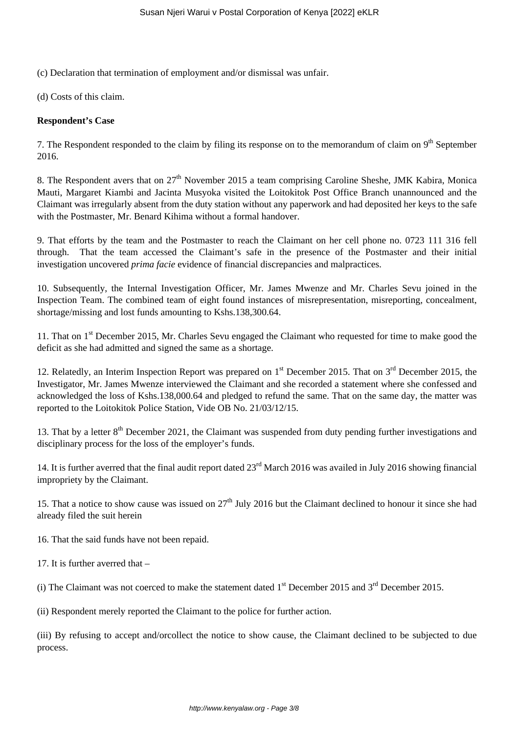(c) Declaration that termination of employment and/or dismissal was unfair.

(d) Costs of this claim.

### **Respondent's Case**

7. The Respondent responded to the claim by filing its response on to the memorandum of claim on 9<sup>th</sup> September 2016.

8. The Respondent avers that on  $27<sup>th</sup>$  November 2015 a team comprising Caroline Sheshe, JMK Kabira, Monica Mauti, Margaret Kiambi and Jacinta Musyoka visited the Loitokitok Post Office Branch unannounced and the Claimant was irregularly absent from the duty station without any paperwork and had deposited her keys to the safe with the Postmaster, Mr. Benard Kihima without a formal handover.

9. That efforts by the team and the Postmaster to reach the Claimant on her cell phone no. 0723 111 316 fell through. That the team accessed the Claimant's safe in the presence of the Postmaster and their initial investigation uncovered *prima facie* evidence of financial discrepancies and malpractices.

10. Subsequently, the Internal Investigation Officer, Mr. James Mwenze and Mr. Charles Sevu joined in the Inspection Team. The combined team of eight found instances of misrepresentation, misreporting, concealment, shortage/missing and lost funds amounting to Kshs.138,300.64.

11. That on 1<sup>st</sup> December 2015, Mr. Charles Sevu engaged the Claimant who requested for time to make good the deficit as she had admitted and signed the same as a shortage.

12. Relatedly, an Interim Inspection Report was prepared on 1<sup>st</sup> December 2015. That on 3<sup>rd</sup> December 2015, the Investigator, Mr. James Mwenze interviewed the Claimant and she recorded a statement where she confessed and acknowledged the loss of Kshs.138,000.64 and pledged to refund the same. That on the same day, the matter was reported to the Loitokitok Police Station, Vide OB No. 21/03/12/15.

13. That by a letter 8<sup>th</sup> December 2021, the Claimant was suspended from duty pending further investigations and disciplinary process for the loss of the employer's funds.

14. It is further averred that the final audit report dated 23<sup>rd</sup> March 2016 was availed in July 2016 showing financial impropriety by the Claimant.

15. That a notice to show cause was issued on  $27<sup>th</sup>$  July 2016 but the Claimant declined to honour it since she had already filed the suit herein

16. That the said funds have not been repaid.

17. It is further averred that –

(i) The Claimant was not coerced to make the statement dated  $1<sup>st</sup>$  December 2015 and  $3<sup>rd</sup>$  December 2015.

(ii) Respondent merely reported the Claimant to the police for further action.

(iii) By refusing to accept and/orcollect the notice to show cause, the Claimant declined to be subjected to due process.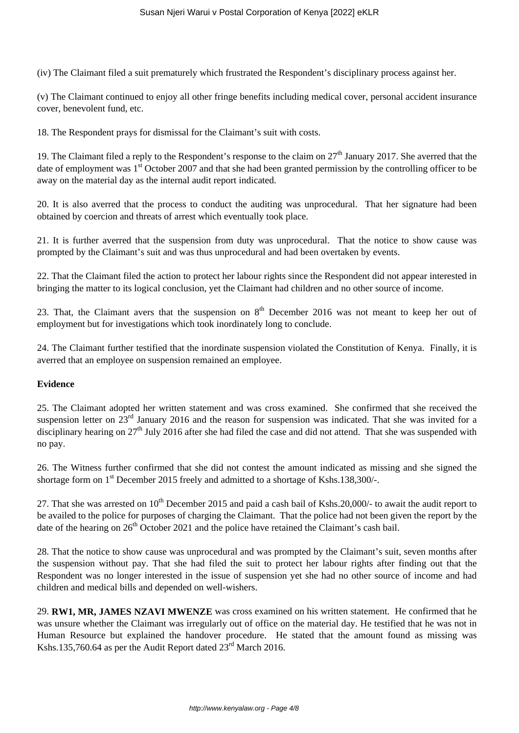(iv) The Claimant filed a suit prematurely which frustrated the Respondent's disciplinary process against her.

(v) The Claimant continued to enjoy all other fringe benefits including medical cover, personal accident insurance cover, benevolent fund, etc.

18. The Respondent prays for dismissal for the Claimant's suit with costs.

19. The Claimant filed a reply to the Respondent's response to the claim on  $27<sup>th</sup>$  January 2017. She averred that the date of employment was 1<sup>st</sup> October 2007 and that she had been granted permission by the controlling officer to be away on the material day as the internal audit report indicated.

20. It is also averred that the process to conduct the auditing was unprocedural. That her signature had been obtained by coercion and threats of arrest which eventually took place.

21. It is further averred that the suspension from duty was unprocedural. That the notice to show cause was prompted by the Claimant's suit and was thus unprocedural and had been overtaken by events.

22. That the Claimant filed the action to protect her labour rights since the Respondent did not appear interested in bringing the matter to its logical conclusion, yet the Claimant had children and no other source of income.

23. That, the Claimant avers that the suspension on  $8<sup>th</sup>$  December 2016 was not meant to keep her out of employment but for investigations which took inordinately long to conclude.

24. The Claimant further testified that the inordinate suspension violated the Constitution of Kenya. Finally, it is averred that an employee on suspension remained an employee.

#### **Evidence**

25. The Claimant adopted her written statement and was cross examined. She confirmed that she received the suspension letter on  $23<sup>rd</sup>$  January 2016 and the reason for suspension was indicated. That she was invited for a disciplinary hearing on  $27<sup>th</sup>$  July 2016 after she had filed the case and did not attend. That she was suspended with no pay.

26. The Witness further confirmed that she did not contest the amount indicated as missing and she signed the shortage form on 1<sup>st</sup> December 2015 freely and admitted to a shortage of Kshs.138,300/-.

27. That she was arrested on  $10^{th}$  December 2015 and paid a cash bail of Kshs. 20,000/- to await the audit report to be availed to the police for purposes of charging the Claimant. That the police had not been given the report by the date of the hearing on 26<sup>th</sup> October 2021 and the police have retained the Claimant's cash bail.

28. That the notice to show cause was unprocedural and was prompted by the Claimant's suit, seven months after the suspension without pay. That she had filed the suit to protect her labour rights after finding out that the Respondent was no longer interested in the issue of suspension yet she had no other source of income and had children and medical bills and depended on well-wishers.

29. **RW1, MR, JAMES NZAVI MWENZE** was cross examined on his written statement. He confirmed that he was unsure whether the Claimant was irregularly out of office on the material day. He testified that he was not in Human Resource but explained the handover procedure. He stated that the amount found as missing was Kshs.135,760.64 as per the Audit Report dated  $23^{\text{rd}}$  March 2016.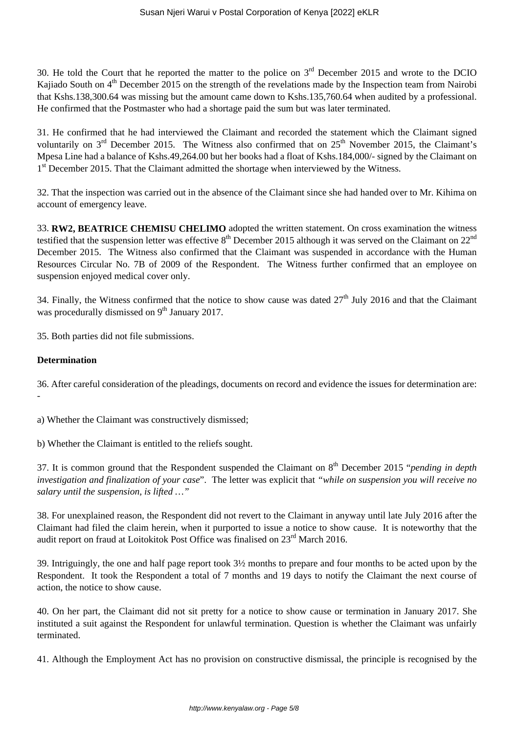30. He told the Court that he reported the matter to the police on  $3<sup>rd</sup>$  December 2015 and wrote to the DCIO Kajiado South on 4<sup>th</sup> December 2015 on the strength of the revelations made by the Inspection team from Nairobi that Kshs.138,300.64 was missing but the amount came down to Kshs.135,760.64 when audited by a professional. He confirmed that the Postmaster who had a shortage paid the sum but was later terminated.

31. He confirmed that he had interviewed the Claimant and recorded the statement which the Claimant signed voluntarily on  $3<sup>rd</sup>$  December 2015. The Witness also confirmed that on  $25<sup>th</sup>$  November 2015, the Claimant's Mpesa Line had a balance of Kshs.49,264.00 but her books had a float of Kshs.184,000/- signed by the Claimant on 1<sup>st</sup> December 2015. That the Claimant admitted the shortage when interviewed by the Witness.

32. That the inspection was carried out in the absence of the Claimant since she had handed over to Mr. Kihima on account of emergency leave.

33. **RW2, BEATRICE CHEMISU CHELIMO** adopted the written statement. On cross examination the witness testified that the suspension letter was effective  $8<sup>th</sup>$  December 2015 although it was served on the Claimant on  $22<sup>nd</sup>$ December 2015. The Witness also confirmed that the Claimant was suspended in accordance with the Human Resources Circular No. 7B of 2009 of the Respondent. The Witness further confirmed that an employee on suspension enjoyed medical cover only.

34. Finally, the Witness confirmed that the notice to show cause was dated 27<sup>th</sup> July 2016 and that the Claimant was procedurally dismissed on  $9<sup>th</sup>$  January 2017.

35. Both parties did not file submissions.

# **Determination**

-

36. After careful consideration of the pleadings, documents on record and evidence the issues for determination are:

a) Whether the Claimant was constructively dismissed;

b) Whether the Claimant is entitled to the reliefs sought.

37. It is common ground that the Respondent suspended the Claimant on 8th December 2015 "*pending in depth investigation and finalization of your case*". The letter was explicit that *"while on suspension you will receive no salary until the suspension, is lifted …"*

38. For unexplained reason, the Respondent did not revert to the Claimant in anyway until late July 2016 after the Claimant had filed the claim herein, when it purported to issue a notice to show cause. It is noteworthy that the audit report on fraud at Loitokitok Post Office was finalised on  $23<sup>rd</sup>$  March 2016.

39. Intriguingly, the one and half page report took 3½ months to prepare and four months to be acted upon by the Respondent. It took the Respondent a total of 7 months and 19 days to notify the Claimant the next course of action, the notice to show cause.

40. On her part, the Claimant did not sit pretty for a notice to show cause or termination in January 2017. She instituted a suit against the Respondent for unlawful termination. Question is whether the Claimant was unfairly terminated.

41. Although the Employment Act has no provision on constructive dismissal, the principle is recognised by the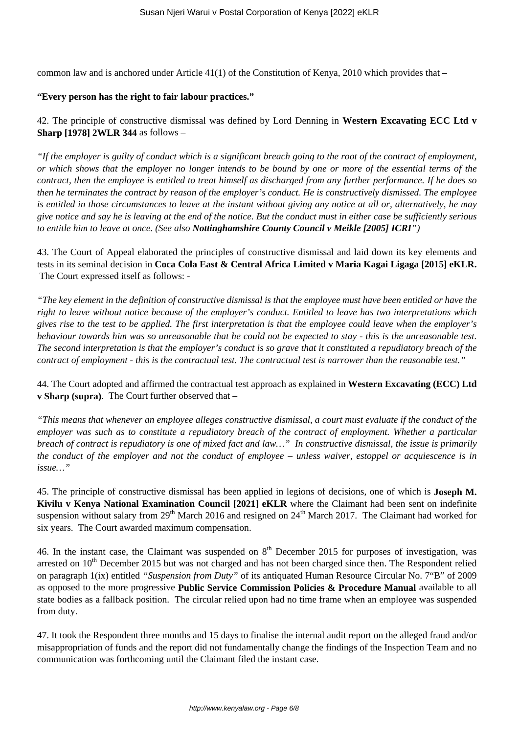common law and is anchored under Article  $41(1)$  of the Constitution of Kenya, 2010 which provides that –

### **"Every person has the right to fair labour practices."**

# 42. The principle of constructive dismissal was defined by Lord Denning in **Western Excavating ECC Ltd v Sharp [1978] 2WLR 344** as follows –

*"If the employer is guilty of conduct which is a significant breach going to the root of the contract of employment, or which shows that the employer no longer intends to be bound by one or more of the essential terms of the contract, then the employee is entitled to treat himself as discharged from any further performance. If he does so then he terminates the contract by reason of the employer's conduct. He is constructively dismissed. The employee is entitled in those circumstances to leave at the instant without giving any notice at all or, alternatively, he may give notice and say he is leaving at the end of the notice. But the conduct must in either case be sufficiently serious to entitle him to leave at once. (See also Nottinghamshire County Council v Meikle [2005] ICRI")* 

43. The Court of Appeal elaborated the principles of constructive dismissal and laid down its key elements and tests in its seminal decision in **Coca Cola East & Central Africa Limited v Maria Kagai Ligaga [2015] eKLR.** The Court expressed itself as follows: -

*"The key element in the definition of constructive dismissal is that the employee must have been entitled or have the right to leave without notice because of the employer's conduct. Entitled to leave has two interpretations which gives rise to the test to be applied. The first interpretation is that the employee could leave when the employer's behaviour towards him was so unreasonable that he could not be expected to stay - this is the unreasonable test. The second interpretation is that the employer's conduct is so grave that it constituted a repudiatory breach of the contract of employment - this is the contractual test. The contractual test is narrower than the reasonable test."*

# 44. The Court adopted and affirmed the contractual test approach as explained in **Western Excavating (ECC) Ltd v Sharp (supra)**. The Court further observed that –

*"This means that whenever an employee alleges constructive dismissal, a court must evaluate if the conduct of the employer was such as to constitute a repudiatory breach of the contract of employment. Whether a particular breach of contract is repudiatory is one of mixed fact and law…" In constructive dismissal, the issue is primarily the conduct of the employer and not the conduct of employee – unless waiver, estoppel or acquiescence is in issue…"*

45. The principle of constructive dismissal has been applied in legions of decisions, one of which is **Joseph M. Kivilu v Kenya National Examination Council [2021] eKLR** where the Claimant had been sent on indefinite suspension without salary from 29<sup>th</sup> March 2016 and resigned on 24<sup>th</sup> March 2017. The Claimant had worked for six years. The Court awarded maximum compensation.

46. In the instant case, the Claimant was suspended on  $8<sup>th</sup>$  December 2015 for purposes of investigation, was arrested on 10<sup>th</sup> December 2015 but was not charged and has not been charged since then. The Respondent relied on paragraph 1(ix) entitled *"Suspension from Duty"* of its antiquated Human Resource Circular No. 7"B" of 2009 as opposed to the more progressive **Public Service Commission Policies & Procedure Manual** available to all state bodies as a fallback position. The circular relied upon had no time frame when an employee was suspended from duty.

47. It took the Respondent three months and 15 days to finalise the internal audit report on the alleged fraud and/or misappropriation of funds and the report did not fundamentally change the findings of the Inspection Team and no communication was forthcoming until the Claimant filed the instant case.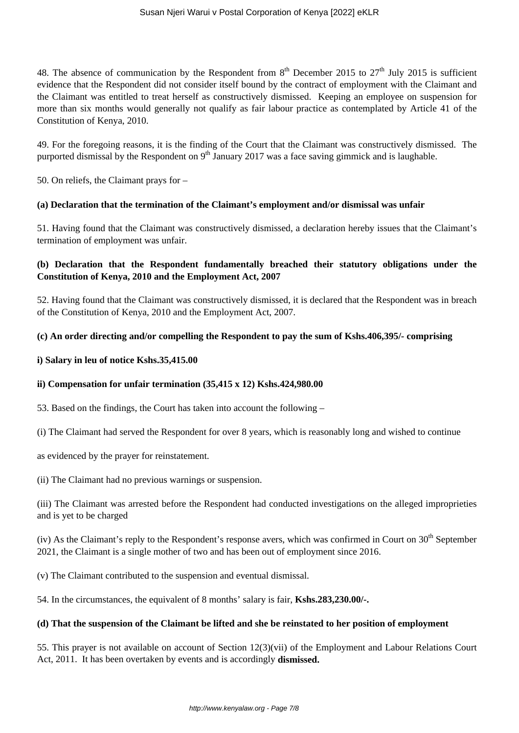48. The absence of communication by the Respondent from  $8<sup>th</sup>$  December 2015 to 27<sup>th</sup> July 2015 is sufficient evidence that the Respondent did not consider itself bound by the contract of employment with the Claimant and the Claimant was entitled to treat herself as constructively dismissed. Keeping an employee on suspension for more than six months would generally not qualify as fair labour practice as contemplated by Article 41 of the Constitution of Kenya, 2010.

49. For the foregoing reasons, it is the finding of the Court that the Claimant was constructively dismissed. The purported dismissal by the Respondent on 9<sup>th</sup> January 2017 was a face saving gimmick and is laughable.

50. On reliefs, the Claimant prays for –

# **(a) Declaration that the termination of the Claimant's employment and/or dismissal was unfair**

51. Having found that the Claimant was constructively dismissed, a declaration hereby issues that the Claimant's termination of employment was unfair.

# **(b) Declaration that the Respondent fundamentally breached their statutory obligations under the Constitution of Kenya, 2010 and the Employment Act, 2007**

52. Having found that the Claimant was constructively dismissed, it is declared that the Respondent was in breach of the Constitution of Kenya, 2010 and the Employment Act, 2007.

# **(c) An order directing and/or compelling the Respondent to pay the sum of Kshs.406,395/- comprising**

# **i) Salary in leu of notice Kshs.35,415.00**

# **ii) Compensation for unfair termination (35,415 x 12) Kshs.424,980.00**

53. Based on the findings, the Court has taken into account the following –

(i) The Claimant had served the Respondent for over 8 years, which is reasonably long and wished to continue

as evidenced by the prayer for reinstatement.

(ii) The Claimant had no previous warnings or suspension.

(iii) The Claimant was arrested before the Respondent had conducted investigations on the alleged improprieties and is yet to be charged

(iv) As the Claimant's reply to the Respondent's response avers, which was confirmed in Court on  $30<sup>th</sup>$  September 2021, the Claimant is a single mother of two and has been out of employment since 2016.

(v) The Claimant contributed to the suspension and eventual dismissal.

54. In the circumstances, the equivalent of 8 months' salary is fair, **Kshs.283,230.00/-.**

# **(d) That the suspension of the Claimant be lifted and she be reinstated to her position of employment**

55. This prayer is not available on account of Section 12(3)(vii) of the Employment and Labour Relations Court Act, 2011. It has been overtaken by events and is accordingly **dismissed.**